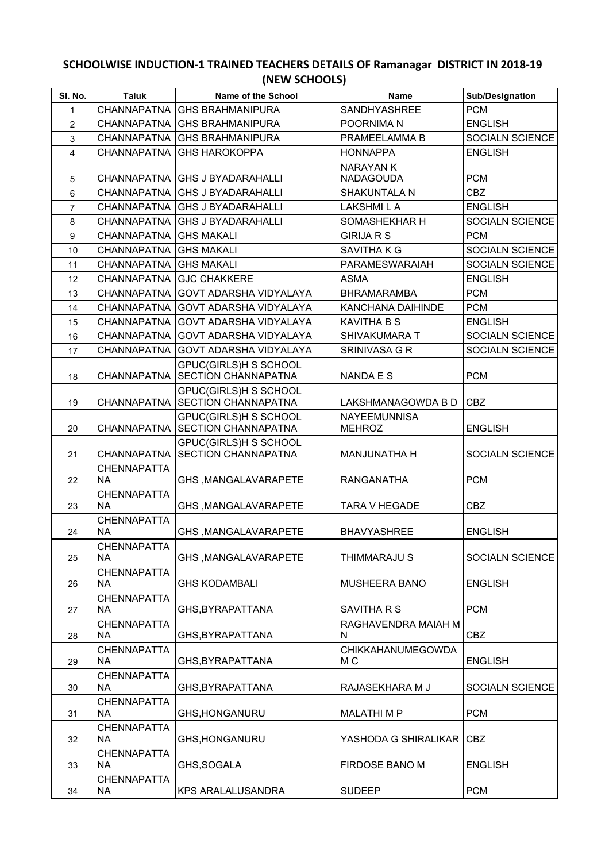## **SCHOOLWISE INDUCTION-1 TRAINED TEACHERS DETAILS OF Ramanagar DISTRICT IN 2018-19 (NEW SCHOOLS)**

| SI. No.        | <b>Taluk</b>                    | Name of the School                                         | <b>Name</b>                          | Sub/Designation |
|----------------|---------------------------------|------------------------------------------------------------|--------------------------------------|-----------------|
| 1              | <b>CHANNAPATNA</b>              | <b>GHS BRAHMANIPURA</b>                                    | SANDHYASHREE                         | <b>PCM</b>      |
| $\overline{2}$ | <b>CHANNAPATNA</b>              | <b>GHS BRAHMANIPURA</b>                                    | POORNIMA N                           | <b>ENGLISH</b>  |
| 3              | <b>CHANNAPATNA</b>              | <b>GHS BRAHMANIPURA</b>                                    | PRAMEELAMMA B                        | SOCIALN SCIENCE |
| $\overline{4}$ | <b>CHANNAPATNA</b>              | <b>GHS HAROKOPPA</b>                                       | <b>HONNAPPA</b>                      | <b>ENGLISH</b>  |
| 5              | <b>CHANNAPATNA</b>              | <b>GHS J BYADARAHALLI</b>                                  | <b>NARAYAN K</b><br><b>NADAGOUDA</b> | <b>PCM</b>      |
| 6              | <b>CHANNAPATNA</b>              | <b>GHS J BYADARAHALLI</b>                                  | SHAKUNTALA N                         | <b>CBZ</b>      |
| $\overline{7}$ | CHANNAPATNA                     | <b>GHS J BYADARAHALLI</b>                                  | <b>LAKSHMI L A</b>                   | <b>ENGLISH</b>  |
| 8              | CHANNAPATNA                     | <b>GHS J BYADARAHALLI</b>                                  | SOMASHEKHAR H                        | SOCIALN SCIENCE |
| 9              | <b>CHANNAPATNA</b>              | <b>GHS MAKALI</b>                                          | <b>GIRIJA R S</b>                    | <b>PCM</b>      |
| 10             | CHANNAPATNA                     | <b>GHS MAKALI</b>                                          | SAVITHA K G                          | SOCIALN SCIENCE |
| 11             | CHANNAPATNA                     | <b>GHS MAKALI</b>                                          | PARAMESWARAIAH                       | SOCIALN SCIENCE |
| 12             | <b>CHANNAPATNA</b>              | <b>GJC CHAKKERE</b>                                        | <b>ASMA</b>                          | <b>ENGLISH</b>  |
| 13             | <b>CHANNAPATNA</b>              | GOVT ADARSHA VIDYALAYA                                     | <b>BHRAMARAMBA</b>                   | <b>PCM</b>      |
| 14             | CHANNAPATNA                     | GOVT ADARSHA VIDYALAYA                                     | KANCHANA DAIHINDE                    | <b>PCM</b>      |
| 15             | <b>CHANNAPATNA</b>              | GOVT ADARSHA VIDYALAYA                                     | <b>KAVITHA B S</b>                   | <b>ENGLISH</b>  |
| 16             | <b>CHANNAPATNA</b>              | <b>GOVT ADARSHA VIDYALAYA</b>                              | SHIVAKUMARA T                        | SOCIALN SCIENCE |
| 17             | CHANNAPATNA                     | GOVT ADARSHA VIDYALAYA                                     | SRINIVASA G R                        | SOCIALN SCIENCE |
| 18             | <b>CHANNAPATNA</b>              | <b>GPUC(GIRLS)H S SCHOOL</b><br><b>SECTION CHANNAPATNA</b> | NANDA E S                            | <b>PCM</b>      |
| 19             | <b>CHANNAPATNA</b>              | GPUC(GIRLS)H S SCHOOL<br><b>SECTION CHANNAPATNA</b>        | LAKSHMANAGOWDA B D                   | <b>CBZ</b>      |
| 20             | <b>CHANNAPATNA</b>              | GPUC(GIRLS)H S SCHOOL<br><b>SECTION CHANNAPATNA</b>        | <b>NAYEEMUNNISA</b><br><b>MEHROZ</b> | <b>ENGLISH</b>  |
| 21             | <b>CHANNAPATNA</b>              | GPUC(GIRLS)H S SCHOOL<br>SECTION CHANNAPATNA               | <b>MANJUNATHA H</b>                  | SOCIALN SCIENCE |
| 22             | <b>CHENNAPATTA</b><br><b>NA</b> | GHS, MANGALAVARAPETE                                       | <b>RANGANATHA</b>                    | <b>PCM</b>      |
| 23             | <b>CHENNAPATTA</b><br><b>NA</b> | GHS, MANGALAVARAPETE                                       | <b>TARA V HEGADE</b>                 | <b>CBZ</b>      |
| 24             | <b>CHENNAPATTA</b><br>NA        | GHS, MANGALAVARAPETE                                       | <b>BHAVYASHREE</b>                   | <b>ENGLISH</b>  |
| 25             | CHENNAPATTA<br>NA               | GHS, MANGALAVARAPETE                                       | THIMMARAJU S                         | SOCIALN SCIENCE |
| 26             | CHENNAPATTA<br><b>NA</b>        | <b>GHS KODAMBALI</b>                                       | <b>MUSHEERA BANO</b>                 | <b>ENGLISH</b>  |
| 27             | <b>CHENNAPATTA</b><br><b>NA</b> | GHS, BYRAPATTANA                                           | SAVITHA R S                          | <b>PCM</b>      |
| 28             | <b>CHENNAPATTA</b><br><b>NA</b> | GHS, BYRAPATTANA                                           | RAGHAVENDRA MAIAH M<br>N.            | CBZ             |
| 29             | CHENNAPATTA<br><b>NA</b>        | GHS, BYRAPATTANA                                           | CHIKKAHANUMEGOWDA<br>МC              | <b>ENGLISH</b>  |
| 30             | CHENNAPATTA<br>NA               | GHS, BYRAPATTANA                                           | RAJASEKHARA M J                      | SOCIALN SCIENCE |
| 31             | <b>CHENNAPATTA</b><br>NA        | GHS, HONGANURU                                             | <b>MALATHI M P</b>                   | <b>PCM</b>      |
| 32             | CHENNAPATTA<br><b>NA</b>        | GHS, HONGANURU                                             | YASHODA G SHIRALIKAR                 | <b>CBZ</b>      |
| 33             | <b>CHENNAPATTA</b><br>NA        | GHS, SOGALA                                                | FIRDOSE BANO M                       | <b>ENGLISH</b>  |
| 34             | <b>CHENNAPATTA</b><br><b>NA</b> | KPS ARALALUSANDRA                                          | <b>SUDEEP</b>                        | <b>PCM</b>      |